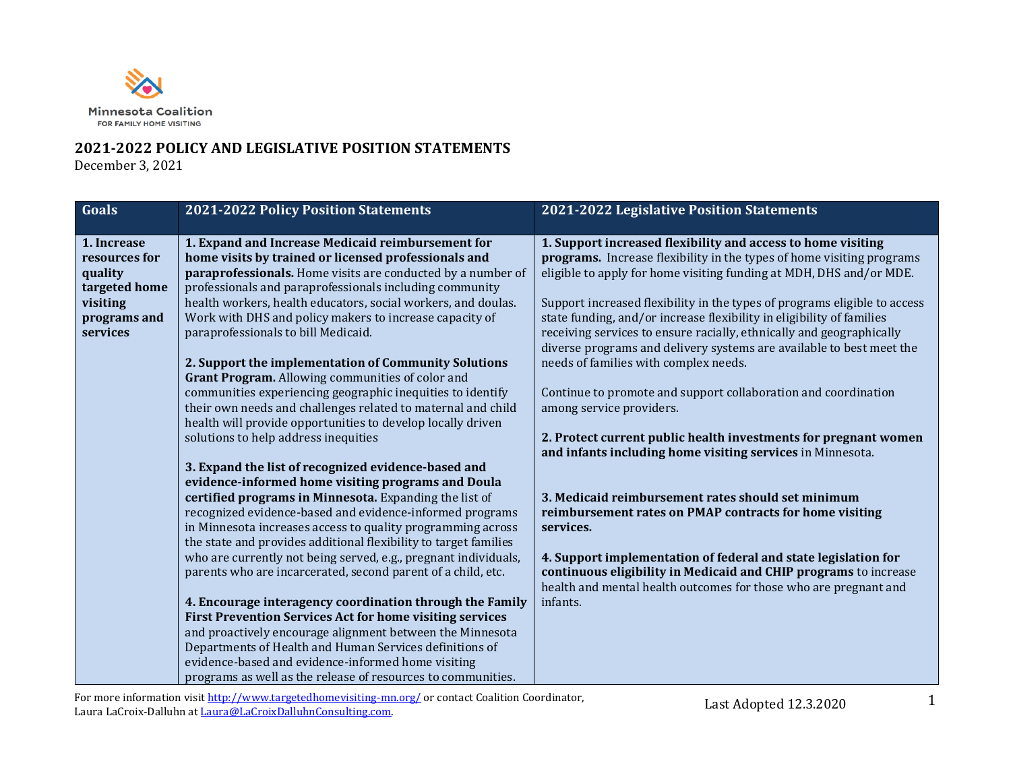

## **2021-2022 POLICY AND LEGISLATIVE POSITION STATEMENTS**

December 3, 2021

| Goals         | 2021-2022 Policy Position Statements                             | 2021-2022 Legislative Position Statements                                    |
|---------------|------------------------------------------------------------------|------------------------------------------------------------------------------|
|               |                                                                  |                                                                              |
| 1. Increase   | 1. Expand and Increase Medicaid reimbursement for                | 1. Support increased flexibility and access to home visiting                 |
| resources for | home visits by trained or licensed professionals and             | <b>programs.</b> Increase flexibility in the types of home visiting programs |
| quality       | paraprofessionals. Home visits are conducted by a number of      | eligible to apply for home visiting funding at MDH, DHS and/or MDE.          |
| targeted home | professionals and paraprofessionals including community          |                                                                              |
| visiting      | health workers, health educators, social workers, and doulas.    | Support increased flexibility in the types of programs eligible to access    |
| programs and  | Work with DHS and policy makers to increase capacity of          | state funding, and/or increase flexibility in eligibility of families        |
| services      | paraprofessionals to bill Medicaid.                              | receiving services to ensure racially, ethnically and geographically         |
|               |                                                                  | diverse programs and delivery systems are available to best meet the         |
|               | 2. Support the implementation of Community Solutions             | needs of families with complex needs.                                        |
|               | Grant Program. Allowing communities of color and                 |                                                                              |
|               | communities experiencing geographic inequities to identify       | Continue to promote and support collaboration and coordination               |
|               | their own needs and challenges related to maternal and child     | among service providers.                                                     |
|               | health will provide opportunities to develop locally driven      | 2. Protect current public health investments for pregnant women              |
|               | solutions to help address inequities                             | and infants including home visiting services in Minnesota.                   |
|               | 3. Expand the list of recognized evidence-based and              |                                                                              |
|               | evidence-informed home visiting programs and Doula               |                                                                              |
|               | certified programs in Minnesota. Expanding the list of           | 3. Medicaid reimbursement rates should set minimum                           |
|               | recognized evidence-based and evidence-informed programs         | reimbursement rates on PMAP contracts for home visiting                      |
|               | in Minnesota increases access to quality programming across      | services.                                                                    |
|               | the state and provides additional flexibility to target families |                                                                              |
|               | who are currently not being served, e.g., pregnant individuals,  | 4. Support implementation of federal and state legislation for               |
|               | parents who are incarcerated, second parent of a child, etc.     | continuous eligibility in Medicaid and CHIP programs to increase             |
|               |                                                                  | health and mental health outcomes for those who are pregnant and             |
|               | 4. Encourage interagency coordination through the Family         | infants.                                                                     |
|               | <b>First Prevention Services Act for home visiting services</b>  |                                                                              |
|               | and proactively encourage alignment between the Minnesota        |                                                                              |
|               | Departments of Health and Human Services definitions of          |                                                                              |
|               | evidence-based and evidence-informed home visiting               |                                                                              |
|               | programs as well as the release of resources to communities.     |                                                                              |

For more information visi[t http://www.targetedhomevisiting-mn.org/](http://www.targetedhomevisiting-mn.org/) or contact Coalition Coordinator, Laura LaCroix-Dalluhn a[t Laura@LaCroixDalluhnConsulting.com.](mailto:Laura@LaCroixDalluhnConsulting.com)